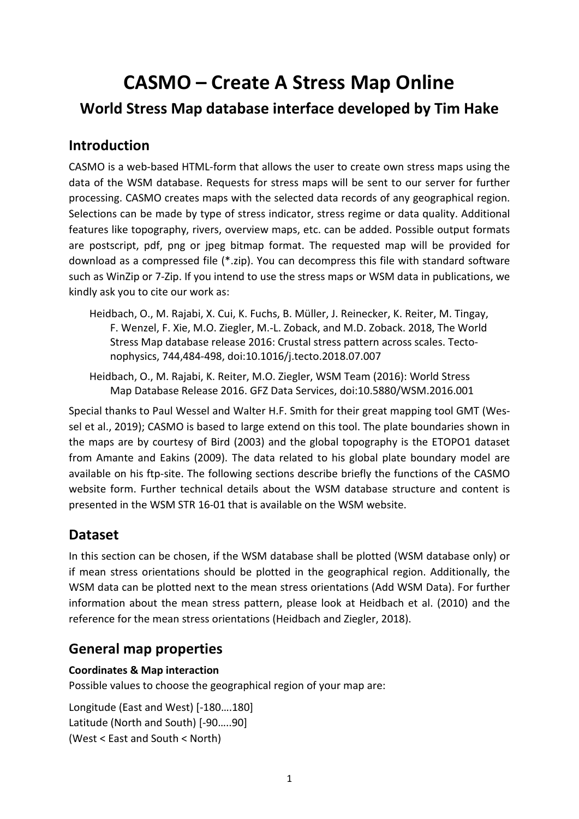# **CASMO – Create A Stress Map Online World Stress Map database interface developed by Tim Hake**

# **Introduction**

CASMO is a web-based HTML-form that allows the user to create own stress maps using the data of the WSM database. Requests for stress maps will be sent to our server for further processing. CASMO creates maps with the selected data records of any geographical region. Selections can be made by type of stress indicator, stress regime or data quality. Additional features like topography, rivers, overview maps, etc. can be added. Possible output formats are postscript, pdf, png or jpeg bitmap format. The requested map will be provided for download as a compressed file (\*.zip). You can decompress this file with standard software such as WinZip or 7-Zip. If you intend to use the stress maps or WSM data in publications, we kindly ask you to cite our work as:

- Heidbach, O., M. Rajabi, X. Cui, K. Fuchs, B. Müller, J. Reinecker, K. Reiter, M. Tingay, F. Wenzel, F. Xie, M.O. Ziegler, M.-L. Zoback, and M.D. Zoback. 2018, The World Stress Map database release 2016: Crustal stress pattern across scales. Tectonophysics, 744,484-498, [doi:10.1016/j.tecto.2018.07.007](http://doi.org/10.1016/j.tecto.2018.07.007)
- Heidbach, O., M. Rajabi, K. Reiter, M.O. Ziegler, WSM Team (2016): World Stress Map Database Release 2016. GFZ Data Services, doi:10.5880/WSM.2016.001

Special thanks to Paul Wessel and Walter H.F. Smith for their great mapping tool GMT (Wessel et al., 2019); CASMO is based to large extend on this tool. The plate boundaries shown in the maps are by courtesy of Bird (2003) and the global topography is the ETOPO1 dataset from Amante and Eakins (2009). The data related to his global plate boundary model are available on his ftp-site. The following sections describe briefly the functions of the CASMO website form. Further technical details about the WSM database structure and content is presented in the WSM STR 16-01 that is available on the WSM website.

## **Dataset**

In this section can be chosen, if the WSM database shall be plotted (WSM database only) or if mean stress orientations should be plotted in the geographical region. Additionally, the WSM data can be plotted next to the mean stress orientations (Add WSM Data). For further information about the mean stress pattern, please look at Heidbach et al. (2010) and the reference for the mean stress orientations (Heidbach and Ziegler, 2018).

# **General map properties**

#### **Coordinates & Map interaction**

Possible values to choose the geographical region of your map are:

Longitude (East and West) [-180….180] Latitude (North and South) [-90…..90] (West < East and South < North)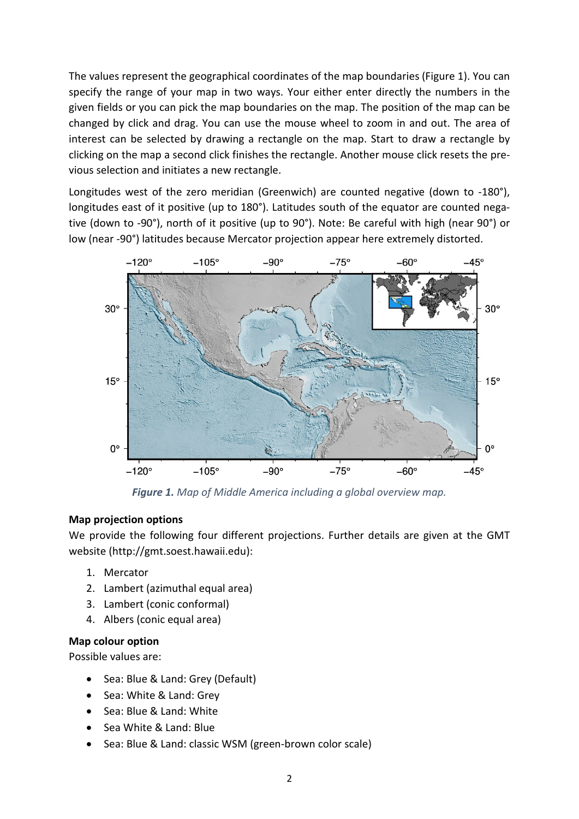The values represent the geographical coordinates of the map boundaries (Figure 1). You can specify the range of your map in two ways. Your either enter directly the numbers in the given fields or you can pick the map boundaries on the map. The position of the map can be changed by click and drag. You can use the mouse wheel to zoom in and out. The area of interest can be selected by drawing a rectangle on the map. Start to draw a rectangle by clicking on the map a second click finishes the rectangle. Another mouse click resets the previous selection and initiates a new rectangle.

Longitudes west of the zero meridian (Greenwich) are counted negative (down to -180°), longitudes east of it positive (up to 180°). Latitudes south of the equator are counted negative (down to -90°), north of it positive (up to 90°). Note: Be careful with high (near 90°) or low (near -90°) latitudes because Mercator projection appear here extremely distorted.



*Figure 1. Map of Middle America including a global overview map.*

#### **Map projection options**

We provide the following four different projections. Further details are given at the GMT website (http://gmt.soest.hawaii.edu):

- 1. Mercator
- 2. Lambert (azimuthal equal area)
- 3. Lambert (conic conformal)
- 4. Albers (conic equal area)

#### **Map colour option**

Possible values are:

- Sea: Blue & Land: Grey (Default)
- Sea: White & Land: Grey
- Sea: Blue & Land: White
- Sea White & Land: Blue
- Sea: Blue & Land: classic WSM (green-brown color scale)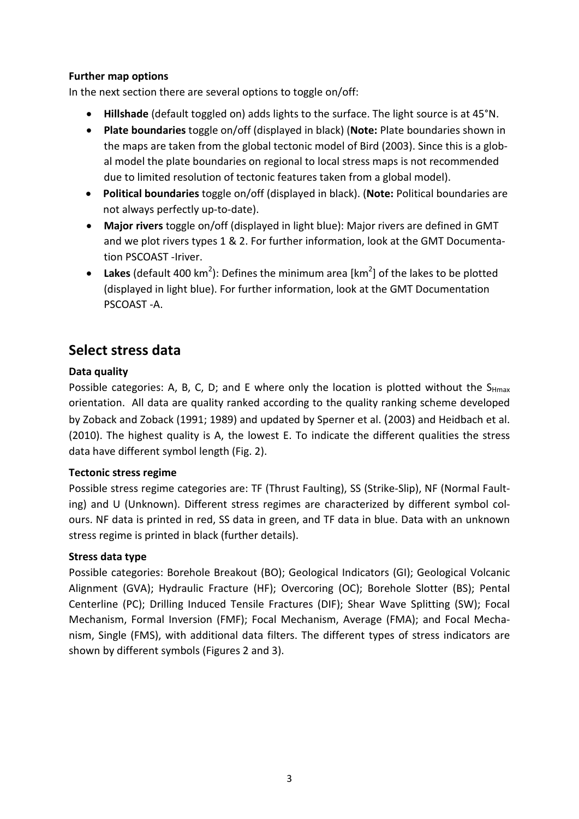#### **Further map options**

In the next section there are several options to toggle on/off:

- **Hillshade** (default toggled on) adds lights to the surface. The light source is at 45°N.
- **Plate boundaries** toggle on/off (displayed in black) (**Note:** Plate boundaries shown in the maps are taken from the global tectonic model of Bird (2003). Since this is a global model the plate boundaries on regional to local stress maps is not recommended due to limited resolution of tectonic features taken from a global model).
- **Political boundaries** toggle on/off (displayed in black). (**Note:** Political boundaries are not always perfectly up-to-date).
- **Major rivers** toggle on/off (displayed in light blue): Major rivers are defined in GMT and we plot rivers types 1 & 2. For further information, look at the GMT Documentation PSCOAST -Iriver.
- Lakes (default 400 km<sup>2</sup>): Defines the minimum area [km<sup>2</sup>] of the lakes to be plotted (displayed in light blue). For further information, look at the GMT Documentation PSCOAST -A.

# **Select stress data**

#### **Data quality**

Possible categories: A, B, C, D; and E where only the location is plotted without the  $S_{Hmax}$ orientation. All data are quality ranked according to the quality ranking scheme developed by Zoback and Zoback (1991; 1989) and updated by Sperner et al. (2003) and Heidbach et al. (2010). The highest quality is A, the lowest E. To indicate the different qualities the stress data have different symbol length (Fig. 2).

#### **Tectonic stress regime**

Possible stress regime categories are: TF (Thrust Faulting), SS (Strike-Slip), NF (Normal Faulting) and U (Unknown). Different stress regimes are characterized by different symbol colours. NF data is printed in red, SS data in green, and TF data in blue. Data with an unknown stress regime is printed in black (further details).

#### **Stress data type**

Possible categories: Borehole Breakout (BO); Geological Indicators (GI); Geological Volcanic Alignment (GVA); Hydraulic Fracture (HF); Overcoring (OC); Borehole Slotter (BS); Pental Centerline (PC); Drilling Induced Tensile Fractures (DIF); Shear Wave Splitting (SW); Focal Mechanism, Formal Inversion (FMF); Focal Mechanism, Average (FMA); and Focal Mechanism, Single (FMS), with additional data filters. The different types of stress indicators are shown by different symbols (Figures 2 and 3).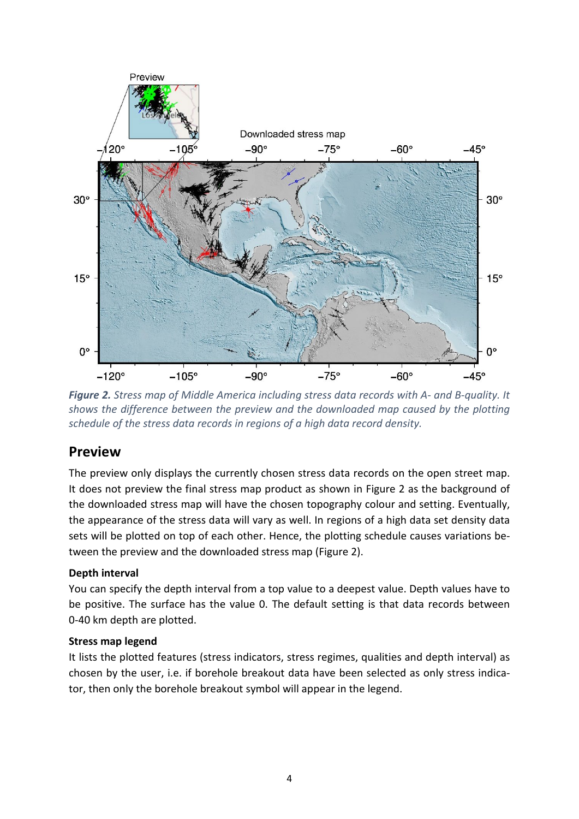

*Figure 2. Stress map of Middle America including stress data records with A- and B-quality. It shows the difference between the preview and the downloaded map caused by the plotting schedule of the stress data records in regions of a high data record density.*

## **Preview**

The preview only displays the currently chosen stress data records on the open street map. It does not preview the final stress map product as shown in Figure 2 as the background of the downloaded stress map will have the chosen topography colour and setting. Eventually, the appearance of the stress data will vary as well. In regions of a high data set density data sets will be plotted on top of each other. Hence, the plotting schedule causes variations between the preview and the downloaded stress map (Figure 2).

#### **Depth interval**

You can specify the depth interval from a top value to a deepest value. Depth values have to be positive. The surface has the value 0. The default setting is that data records between 0-40 km depth are plotted.

#### **Stress map legend**

It lists the plotted features (stress indicators, stress regimes, qualities and depth interval) as chosen by the user, i.e. if borehole breakout data have been selected as only stress indicator, then only the borehole breakout symbol will appear in the legend.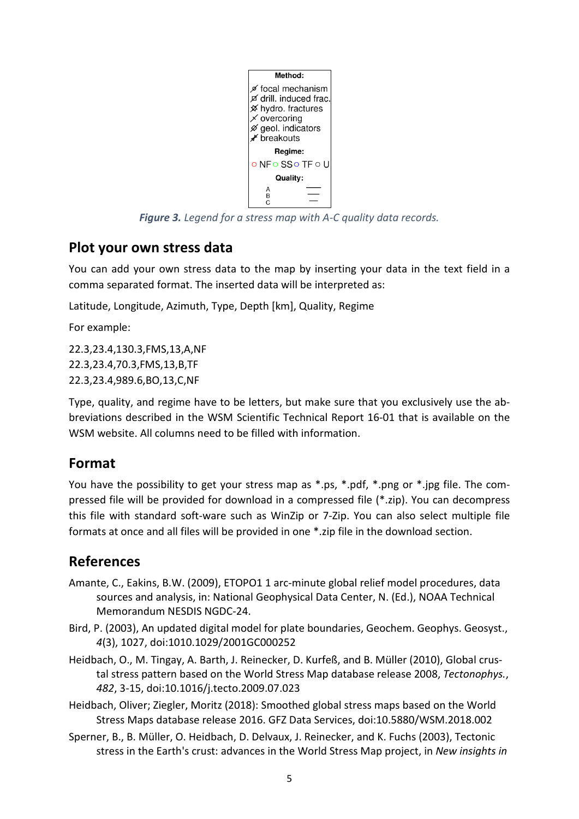

*Figure 3. Legend for a stress map with A-C quality data records.*

## **Plot your own stress data**

You can add your own stress data to the map by inserting your data in the text field in a comma separated format. The inserted data will be interpreted as:

Latitude, Longitude, Azimuth, Type, Depth [km], Quality, Regime

For example:

22.3,23.4,130.3,FMS,13,A,NF 22.3,23.4,70.3,FMS,13,B,TF 22.3,23.4,989.6,BO,13,C,NF

Type, quality, and regime have to be letters, but make sure that you exclusively use the abbreviations described in the WSM Scientific Technical Report 16-01 that is available on the WSM website. All columns need to be filled with information.

## **Format**

You have the possibility to get your stress map as \*.ps, \*.pdf, \*.png or \*.jpg file. The compressed file will be provided for download in a compressed file (\*.zip). You can decompress this file with standard soft-ware such as WinZip or 7-Zip. You can also select multiple file formats at once and all files will be provided in one \*.zip file in the download section.

# **References**

- Amante, C., Eakins, B.W. (2009), ETOPO1 1 arc-minute global relief model procedures, data sources and analysis, in: National Geophysical Data Center, N. (Ed.), NOAA Technical Memorandum NESDIS NGDC-24.
- Bird, P. (2003), An updated digital model for plate boundaries, Geochem. Geophys. Geosyst., *4*(3), 1027, doi:1010.1029/2001GC000252
- Heidbach, O., M. Tingay, A. Barth, J. Reinecker, D. Kurfeß, and B. Müller (2010), Global crustal stress pattern based on the World Stress Map database release 2008, *Tectonophys.*, *482*, 3-15, doi:10.1016/j.tecto.2009.07.023
- Heidbach, Oliver; Ziegler, Moritz (2018): Smoothed global stress maps based on the World Stress Maps database release 2016. GFZ Data Services, [doi:10.5880/WSM.2018.002](https://doi.org/10.5880/WSM.2018.002)
- Sperner, B., B. Müller, O. Heidbach, D. Delvaux, J. Reinecker, and K. Fuchs (2003), Tectonic stress in the Earth's crust: advances in the World Stress Map project, in *New insights in*